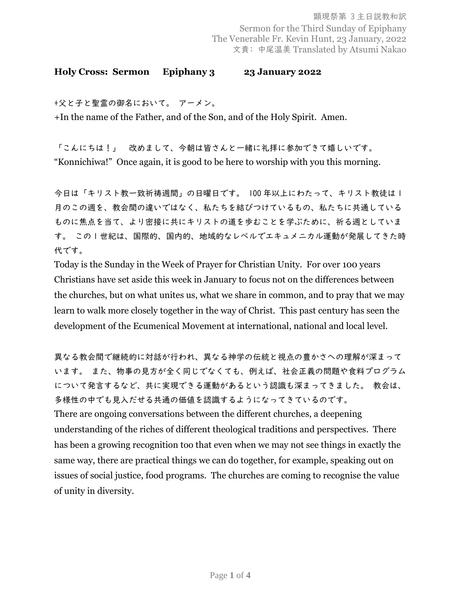## **Holy Cross: Sermon Epiphany 3 23 January 2022**

+父と子と聖霊の御名において。 アーメン。

+In the name of the Father, and of the Son, and of the Holy Spirit. Amen.

「こんにちは!」 改めまして、今朝は皆さんと一緒に礼拝に参加できて嬉しいです。 "Konnichiwa!" Once again, it is good to be here to worship with you this morning.

今日は「キリスト教一致祈祷週間」の日曜日です。 100 年以上にわたって、キリスト教徒は 1 月のこの週を、教会間の違いではなく、私たちを結びつけているもの、私たちに共通している ものに焦点を当て、より密接に共にキリストの道を歩むことを学ぶために、祈る週としていま す。 この 1 世紀は、国際的、国内的、地域的なレベルでエキュメニカル運動が発展してきた時 代です。

Today is the Sunday in the Week of Prayer for Christian Unity. For over 100 years Christians have set aside this week in January to focus not on the differences between the churches, but on what unites us, what we share in common, and to pray that we may learn to walk more closely together in the way of Christ. This past century has seen the development of the Ecumenical Movement at international, national and local level.

異なる教会間で継続的に対話が行われ、異なる神学の伝統と視点の豊かさへの理解が深まって います。 また、物事の見方が全く同じでなくても、例えば、社会正義の問題や食料プログラム について発言するなど、共に実現できる運動があるという認識も深まってきました。 教会は、 多様性の中でも見入だせる共通の価値を認識するようになってきているのです。 There are ongoing conversations between the different churches, a deepening understanding of the riches of different theological traditions and perspectives. There has been a growing recognition too that even when we may not see things in exactly the same way, there are practical things we can do together, for example, speaking out on issues of social justice, food programs. The churches are coming to recognise the value of unity in diversity.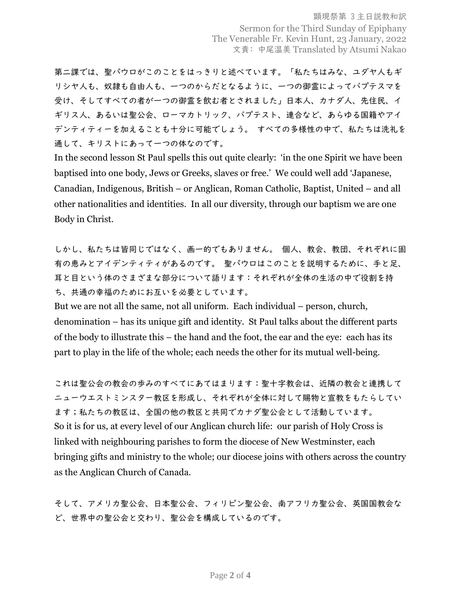顕現祭第 3 主日説教和訳 Sermon for the Third Sunday of Epiphany The Venerable Fr. Kevin Hunt, 23 January, 2022 文責: 中尾温美 Translated by Atsumi Nakao

第二課では、聖パウロがこのことをはっきりと述べています。「私たちはみな、ユダヤ人もギ リシヤ人も、奴隷も自由人も、一つのからだとなるように、一つの御霊によってバプテスマを 受け、そしてすべての者が一つの御霊を飲む者とされました」日本人、カナダ人、先住民、イ ギリス人、あるいは聖公会、ローマカトリック、バプテスト、連合など、あらゆる国籍やアイ デンティティーを加えることも十分に可能でしょう。 すべての多様性の中で、私たちは洗礼を 通して、キリストにあって一つの体なのです。

In the second lesson St Paul spells this out quite clearly: 'in the one Spirit we have been baptised into one body, Jews or Greeks, slaves or free.' We could well add 'Japanese, Canadian, Indigenous, British – or Anglican, Roman Catholic, Baptist, United – and all other nationalities and identities. In all our diversity, through our baptism we are one Body in Christ.

しかし、私たちは皆同じではなく、画一的でもありません。 個人、教会、教団、それぞれに固 有の恵みとアイデンティティがあるのです。 聖パウロはこのことを説明するために、手と足、 耳と目という体のさまざまな部分について語ります:それぞれが全体の生活の中で役割を持 ち、共通の幸福のためにお互いを必要としています。

But we are not all the same, not all uniform. Each individual – person, church, denomination – has its unique gift and identity. St Paul talks about the different parts of the body to illustrate this – the hand and the foot, the ear and the eye: each has its part to play in the life of the whole; each needs the other for its mutual well-being.

これは聖公会の教会の歩みのすべてにあてはまります:聖十字教会は、近隣の教会と連携して ニューウエストミンスター教区を形成し、それぞれが全体に対して賜物と宣教をもたらしてい ます;私たちの教区は、全国の他の教区と共同でカナダ聖公会として活動しています。 So it is for us, at every level of our Anglican church life: our parish of Holy Cross is linked with neighbouring parishes to form the diocese of New Westminster, each bringing gifts and ministry to the whole; our diocese joins with others across the country as the Anglican Church of Canada.

そして、アメリカ聖公会、日本聖公会、フィリピン聖公会、南アフリカ聖公会、英国国教会な ど、世界中の聖公会と交わり、聖公会を構成しているのです。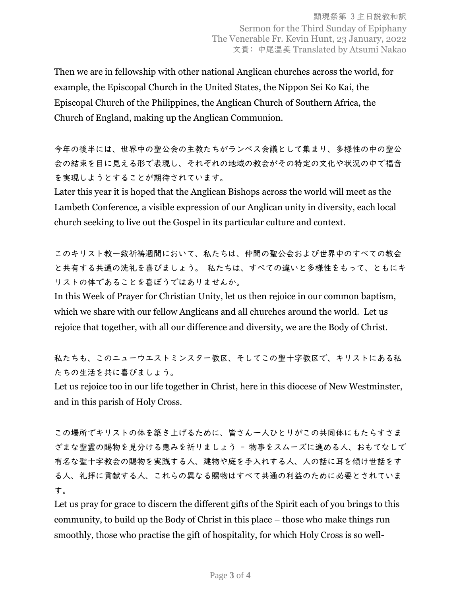Then we are in fellowship with other national Anglican churches across the world, for example, the Episcopal Church in the United States, the Nippon Sei Ko Kai, the Episcopal Church of the Philippines, the Anglican Church of Southern Africa, the Church of England, making up the Anglican Communion.

今年の後半には、世界中の聖公会の主教たちがランベス会議として集まり、多様性の中の聖公 会の結束を目に見える形で表現し、それぞれの地域の教会がその特定の文化や状況の中で福音 を実現しようとすることが期待されています。

Later this year it is hoped that the Anglican Bishops across the world will meet as the Lambeth Conference, a visible expression of our Anglican unity in diversity, each local church seeking to live out the Gospel in its particular culture and context.

このキリスト教一致祈祷週間において、私たちは、仲間の聖公会および世界中のすべての教会 と共有する共通の洗礼を喜びましょう。 私たちは、すべての違いと多様性をもって、ともにキ リストの体であることを喜ぼうではありませんか。

In this Week of Prayer for Christian Unity, let us then rejoice in our common baptism, which we share with our fellow Anglicans and all churches around the world. Let us rejoice that together, with all our difference and diversity, we are the Body of Christ.

私たちも、このニューウエストミンスター教区、そしてこの聖十字教区で、キリストにある私 たちの生活を共に喜びましょう。

Let us rejoice too in our life together in Christ, here in this diocese of New Westminster, and in this parish of Holy Cross.

この場所でキリストの体を築き上げるために、皆さん一人ひとりがこの共同体にもたらすさま ざまな聖霊の賜物を見分ける恵みを祈りましょう - 物事をスムーズに進める人、おもてなしで 有名な聖十字教会の賜物を実践する人、建物や庭を手入れする人、人の話に耳を傾け世話をす る人、礼拝に貢献する人、これらの異なる賜物はすべて共通の利益のために必要とされていま す。

Let us pray for grace to discern the different gifts of the Spirit each of you brings to this community, to build up the Body of Christ in this place – those who make things run smoothly, those who practise the gift of hospitality, for which Holy Cross is so well